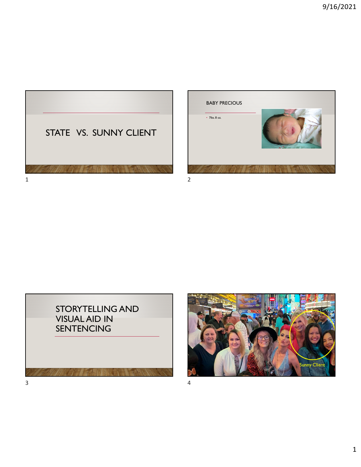



STORYTELLING AND VISUAL AID IN SENTENCING



 $3 \overline{4}$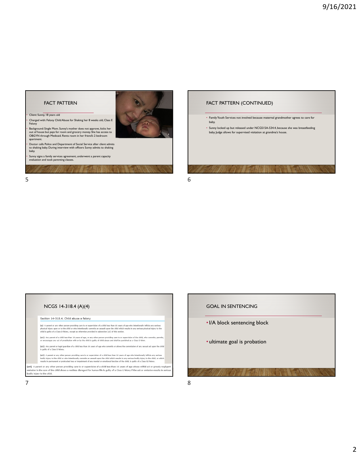### FACT PATTERN

#### • Client: Sunny, 18 years old



• Background: Single Mom. Sunny's mother does not approve, kicks her out of house but pays for room and grocery money. She has access to OBGYN through Medicaid. Rents room in her friend's 2 bedroom apartment

• Doctor calls Police and Department of Social Service after client admits to shaking baby. During interview with officers Sunny admits to shaking baby.

• Sunny signs a family services agreement, underwent a parent capacity evaluation and took parenting classes. 171717777777

# FACT PATTERN (CONTINUED) • Family Youth Services not involved because maternal grandmother agrees to care for baby. • Sunny locked up but released under NCGS15A-534.4, because she was breastfeeding baby. Judge allows for supervised visitation at grandma's house.

 $5<sub>6</sub>$ 

| NCGS 14-318.4 (A)(4)<br>Section 14-318.4. Child abuse a felony                                                                                                                                                                                                                                                                                                                                                                                   |
|--------------------------------------------------------------------------------------------------------------------------------------------------------------------------------------------------------------------------------------------------------------------------------------------------------------------------------------------------------------------------------------------------------------------------------------------------|
| (a) A parent or any other person providing care to or supervision of a child less than 16 years of age who intentionally inflicts any serious<br>physical injury upon or to the child or who intentionally commits an assault upon the child which results in any serious physical injury to the<br>child is quilty of a Class D felony, except as otherwise provided in subsection (a3) of this section,                                        |
| (a1) Any parent of a child less than 16 years of age, or any other person providing care to or supervision of the child, who commits, permits,<br>or encourages any act of prostitution with or by the child is guilty of child abuse and shall be punished as a Class D felon.                                                                                                                                                                  |
| (a2) Any parent or legal guardian of a child less than 16 years of age who commits or allows the commission of any sexual act upon the child<br>is guilty of a Class D felony.                                                                                                                                                                                                                                                                   |
| (a3) A parent or any other person providing care to or supervision of a child less than 16 years of age who intentionally inflicts any serious<br>bodily injury to the child or who intentionally commits an assault upon the child which results in any serious bodily injury to the child, or which<br>results in permanent or protracted loss or impairment of any mental or emotional function of the child, is guilty of a Class B2 felony. |
| (a4) A parent or any other person providing care to or supervision of a child less than 16 years of age whose willful act or grossly negligent<br>omission in the care of the child shows a reckless disregard for human life is guilty of a Class E felony if the act or omission results in serious<br>bodily injury to the child.                                                                                                             |

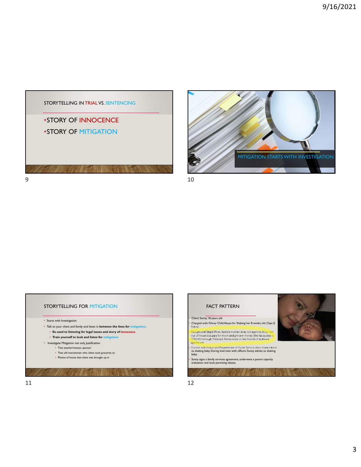







• Sunny signs a family services agreement, underwent a parent capacity evaluation and took parenting classes.

• Client: Sunny, 18 years old

apartment.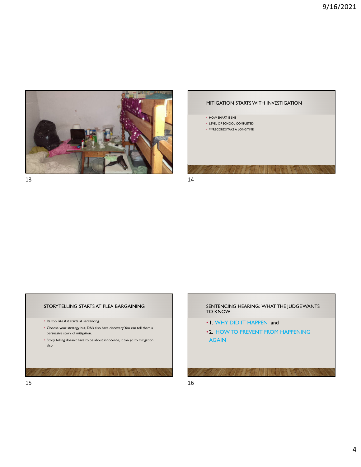





#### STORYTELLING STARTS AT PLEA BARGAINING

- Its too late if it starts at sentencing.
- Choose your strategy but, DA's also have discovery. You can tell them a persuasive story of mitigation.
- Story telling doesn't have to be about innocence, it can go to mitigation also

## SENTENCING HEARING: WHAT THE JUDGE WANTS TO KNOW • 1. WHY DID IT HAPPEN and • 2. HOW TO PREVENT FROM HAPPENING AGAIN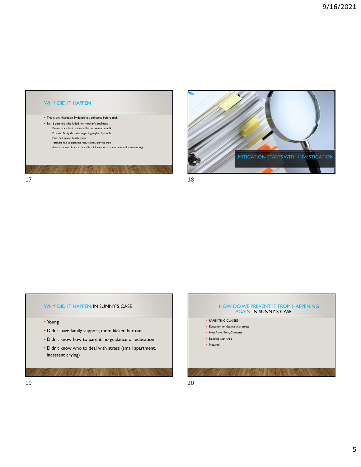



#### WHY DID IT HAPPEN: IN SUNNY'S CASE

- Young
- Didn't have family support, mom kicked her out
- Didn't know how to parent, no guidance or education
- Didn't know who to deal with stress (small apartment, incessant crying)

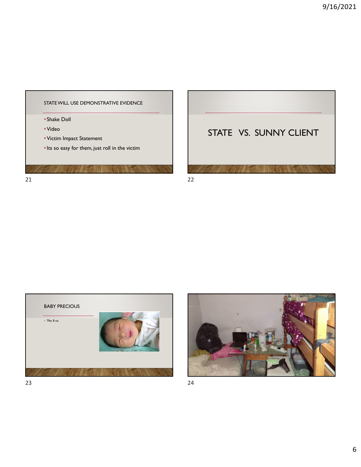









23 24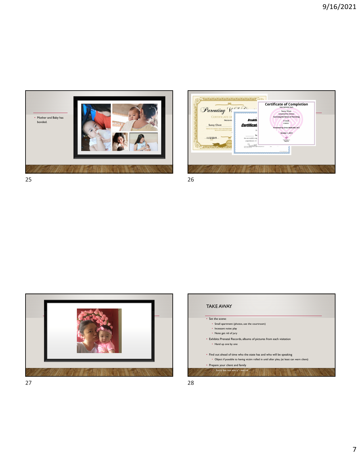

|                                                                                                                                                           |                                                                                           | <b>Certificate of Completion</b><br>THIS CERTIFIES THAT:                                                                                                        |  |
|-----------------------------------------------------------------------------------------------------------------------------------------------------------|-------------------------------------------------------------------------------------------|-----------------------------------------------------------------------------------------------------------------------------------------------------------------|--|
| Parenting Wash<br><b>CERTIFICATE OI</b><br><b>PRESENTI</b><br><b>Sunny Client</b><br>THIS IS TO CERTIFY THAT THE PARENTIN<br><b>BEDI SUCCESSFULLY COM</b> | بالمستقلة المتعارض المتعارض المراكب<br><b>Breakth</b><br>Certificatu<br>7h<br><b>Su</b>   | Sunny Client<br>Completed the webinar:<br><b>Surviving the Stress of Parenting</b><br>4 week<br>course<br>Presented by: Erica Moltz, MA, NCC<br>October 1, 2019 |  |
| 11/2/2019<br>75.06.06.06.06.06.06                                                                                                                         | has successfully comp<br>contrelensive 12-1<br><b>Argentinance</b><br>Please (620 KB 791) | Family Works<br><b>Dist</b>                                                                                                                                     |  |





 $27$  28